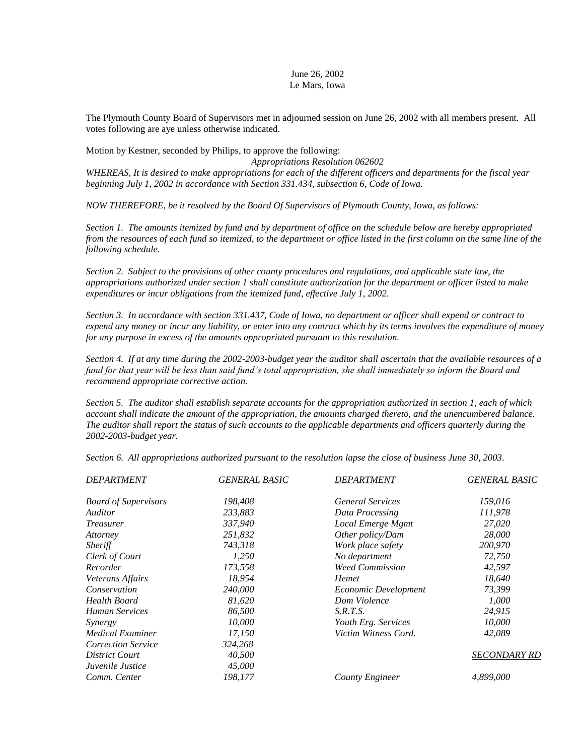## June 26, 2002 Le Mars, Iowa

The Plymouth County Board of Supervisors met in adjourned session on June 26, 2002 with all members present. All votes following are aye unless otherwise indicated.

Motion by Kestner, seconded by Philips, to approve the following: *Appropriations Resolution 062602 WHEREAS, It is desired to make appropriations for each of the different officers and departments for the fiscal year beginning July 1, 2002 in accordance with Section 331.434, subsection 6, Code of Iowa.*

*NOW THEREFORE, be it resolved by the Board Of Supervisors of Plymouth County, Iowa, as follows:*

*Section 1. The amounts itemized by fund and by department of office on the schedule below are hereby appropriated from the resources of each fund so itemized, to the department or office listed in the first column on the same line of the following schedule.*

*Section 2. Subject to the provisions of other county procedures and regulations, and applicable state law, the appropriations authorized under section 1 shall constitute authorization for the department or officer listed to make expenditures or incur obligations from the itemized fund, effective July 1, 2002.*

*Section 3. In accordance with section 331.437, Code of Iowa, no department or officer shall expend or contract to expend any money or incur any liability, or enter into any contract which by its terms involves the expenditure of money for any purpose in excess of the amounts appropriated pursuant to this resolution.*

*Section 4. If at any time during the 2002-2003-budget year the auditor shall ascertain that the available resources of a fund for that year will be less than said fund's total appropriation, she shall immediately so inform the Board and recommend appropriate corrective action.* 

*Section 5. The auditor shall establish separate accounts for the appropriation authorized in section 1, each of which account shall indicate the amount of the appropriation, the amounts charged thereto, and the unencumbered balance. The auditor shall report the status of such accounts to the applicable departments and officers quarterly during the 2002-2003-budget year.*

*Section 6. All appropriations authorized pursuant to the resolution lapse the close of business June 30, 2003.*

| <i><b>DEPARTMENT</b></i>    | <b>GENERAL BASIC</b> | <i>DEPARTMENT</i>       | <b>GENERAL BASIC</b> |
|-----------------------------|----------------------|-------------------------|----------------------|
| <b>Board of Supervisors</b> | 198,408              | <b>General Services</b> | 159,016              |
| Auditor                     | 233,883              | Data Processing         | 111,978              |
| <i>Treasurer</i>            | 337,940              | Local Emerge Mgmt       | 27,020               |
| Attorney                    | 251,832              | Other policy/Dam        | 28,000               |
| <i><b>Sheriff</b></i>       | 743,318              | Work place safety       | 200,970              |
| Clerk of Court              | 1,250                | No department           | 72,750               |
| Recorder                    | 173,558              | <b>Weed Commission</b>  | 42,597               |
| Veterans Affairs            | 18,954               | Hemet                   | 18,640               |
| Conservation                | 240,000              | Economic Development    | 73,399               |
| Health Board                | 81,620               | Dom Violence            | 1,000                |
| Human Services              | 86,500               | S.R.T.S.                | 24,915               |
| Synergy                     | 10,000               | Youth Erg. Services     | 10,000               |
| Medical Examiner            | 17,150               | Victim Witness Cord.    | 42,089               |
| <b>Correction Service</b>   | 324,268              |                         |                      |
| District Court              | 40,500               |                         | <b>SECONDARY RD</b>  |
| Juvenile Justice            | 45,000               |                         |                      |
| Comm. Center                | 198,177              | County Engineer         | 4,899,000            |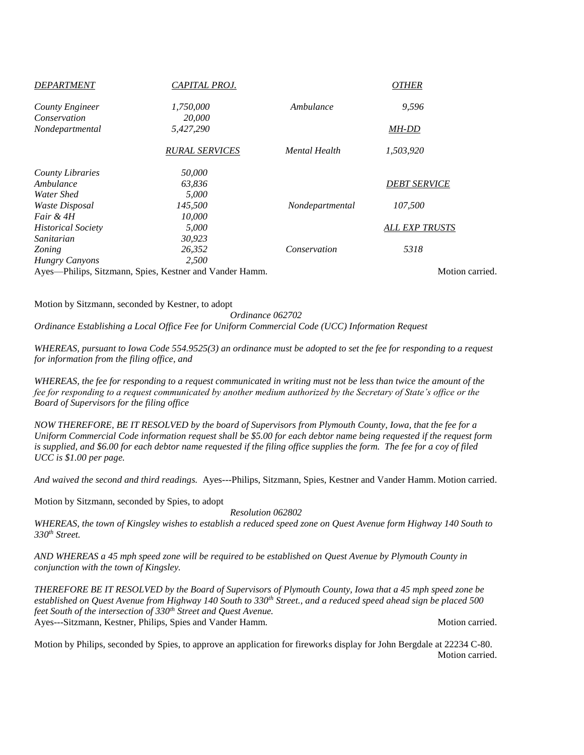| <b>DEPARTMENT</b>         | CAPITAL PROJ.                                           |                 | <b>OTHER</b>          |
|---------------------------|---------------------------------------------------------|-----------------|-----------------------|
| County Engineer           | 1,750,000                                               | Ambulance       | 9,596                 |
| Conservation              | 20,000                                                  |                 |                       |
| Nondepartmental           | 5,427,290                                               |                 | MH-DD                 |
|                           | <b>RURAL SERVICES</b>                                   | Mental Health   | 1,503,920             |
| <b>County Libraries</b>   | 50,000                                                  |                 |                       |
| Ambulance                 | 63,836                                                  |                 | <b>DEBT SERVICE</b>   |
| Water Shed                | 5,000                                                   |                 |                       |
| Waste Disposal            | 145,500                                                 | Nondepartmental | 107.500               |
| Fair & 4H                 | 10,000                                                  |                 |                       |
| <b>Historical Society</b> | 5,000                                                   |                 | <b>ALL EXP TRUSTS</b> |
| Sanitarian                | 30,923                                                  |                 |                       |
| Zoning                    | 26,352                                                  | Conservation    | 5318                  |
| <b>Hungry Canyons</b>     | 2,500                                                   |                 |                       |
|                           | Ayes-Philips, Sitzmann, Spies, Kestner and Vander Hamm. |                 | Motion carried.       |

Motion by Sitzmann, seconded by Kestner, to adopt

*Ordinance 062702 Ordinance Establishing a Local Office Fee for Uniform Commercial Code (UCC) Information Request*

*WHEREAS, pursuant to Iowa Code 554.9525(3) an ordinance must be adopted to set the fee for responding to a request for information from the filing office, and*

*WHEREAS, the fee for responding to a request communicated in writing must not be less than twice the amount of the fee for responding to a request communicated by another medium authorized by the Secretary of State's office or the Board of Supervisors for the filing office*

*NOW THEREFORE, BE IT RESOLVED by the board of Supervisors from Plymouth County, Iowa, that the fee for a Uniform Commercial Code information request shall be \$5.00 for each debtor name being requested if the request form is supplied, and \$6.00 for each debtor name requested if the filing office supplies the form. The fee for a coy of filed UCC is \$1.00 per page.*

*And waived the second and third readings.* Ayes---Philips, Sitzmann, Spies, Kestner and Vander Hamm. Motion carried.

Motion by Sitzmann, seconded by Spies, to adopt

*Resolution 062802*

*WHEREAS, the town of Kingsley wishes to establish a reduced speed zone on Quest Avenue form Highway 140 South to 330th Street.*

*AND WHEREAS a 45 mph speed zone will be required to be established on Quest Avenue by Plymouth County in conjunction with the town of Kingsley.*

*THEREFORE BE IT RESOLVED by the Board of Supervisors of Plymouth County, Iowa that a 45 mph speed zone be established on Quest Avenue from Highway 140 South to 330th Street., and a reduced speed ahead sign be placed 500 feet South of the intersection of 330th Street and Quest Avenue.* Ayes---Sitzmann, Kestner, Philips, Spies and Vander Hamm. Motion carried.

Motion by Philips, seconded by Spies, to approve an application for fireworks display for John Bergdale at 22234 C-80. Motion carried.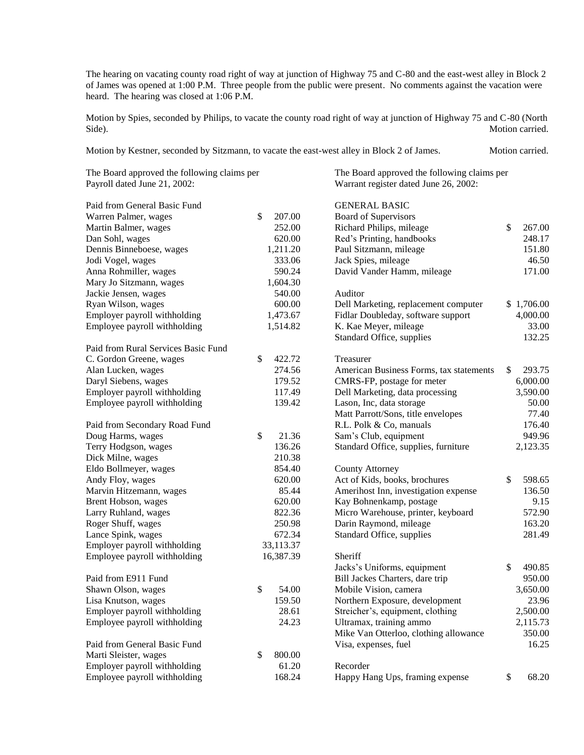The hearing on vacating county road right of way at junction of Highway 75 and C-80 and the east-west alley in Block 2 of James was opened at 1:00 P.M. Three people from the public were present. No comments against the vacation were heard. The hearing was closed at 1:06 P.M.

Motion by Spies, seconded by Philips, to vacate the county road right of way at junction of Highway 75 and C-80 (North Side). Motion carried.

| Motion by Kestner, seconded by Sitzmann, to vacate the east-west alley in Block 2 of James. |  | Motion carried. |
|---------------------------------------------------------------------------------------------|--|-----------------|
|---------------------------------------------------------------------------------------------|--|-----------------|

| The Board approved the following claims per<br>Payroll dated June 21, 2002:                                                                                                                                                  |                                                                              | The Board approved the following claims per<br>Warrant register dated June 26, 2002:                                                                                                               |                                                               |  |  |
|------------------------------------------------------------------------------------------------------------------------------------------------------------------------------------------------------------------------------|------------------------------------------------------------------------------|----------------------------------------------------------------------------------------------------------------------------------------------------------------------------------------------------|---------------------------------------------------------------|--|--|
| Paid from General Basic Fund<br>Warren Palmer, wages<br>Martin Balmer, wages<br>Dan Sohl, wages<br>Dennis Binneboese, wages<br>Jodi Vogel, wages<br>Anna Rohmiller, wages<br>Mary Jo Sitzmann, wages<br>Jackie Jensen, wages | \$<br>207.00<br>252.00<br>620.00<br>1,211.20<br>333.06<br>590.24<br>1,604.30 | <b>GENERAL BASIC</b><br>Board of Supervisors<br>Richard Philips, mileage<br>Red's Printing, handbooks<br>Paul Sitzmann, mileage<br>Jack Spies, mileage<br>David Vander Hamm, mileage<br>Auditor    | \$<br>267.00<br>248.17<br>151.80<br>46.50<br>171.00           |  |  |
| Ryan Wilson, wages<br>Employer payroll withholding<br>Employee payroll withholding                                                                                                                                           | 540.00<br>600.00<br>1,473.67<br>1,514.82                                     | Dell Marketing, replacement computer<br>Fidlar Doubleday, software support<br>K. Kae Meyer, mileage<br>Standard Office, supplies                                                                   | \$1,706.00<br>4,000.00<br>33.00<br>132.25                     |  |  |
| Paid from Rural Services Basic Fund<br>C. Gordon Greene, wages<br>Alan Lucken, wages<br>Daryl Siebens, wages<br>Employer payroll withholding<br>Employee payroll withholding                                                 | \$<br>422.72<br>274.56<br>179.52<br>117.49<br>139.42                         | Treasurer<br>American Business Forms, tax statements<br>CMRS-FP, postage for meter<br>Dell Marketing, data processing<br>Lason, Inc, data storage<br>Matt Parrott/Sons, title envelopes            | \$<br>293.75<br>6,000.00<br>3,590.00<br>50.00<br>77.40        |  |  |
| Paid from Secondary Road Fund<br>Doug Harms, wages<br>Terry Hodgson, wages<br>Dick Milne, wages                                                                                                                              | \$<br>21.36<br>136.26<br>210.38                                              | R.L. Polk & Co, manuals<br>Sam's Club, equipment<br>Standard Office, supplies, furniture                                                                                                           | 176.40<br>949.96<br>2,123.35                                  |  |  |
| Eldo Bollmeyer, wages<br>Andy Floy, wages<br>Marvin Hitzemann, wages<br>Brent Hobson, wages<br>Larry Ruhland, wages<br>Roger Shuff, wages                                                                                    | 854.40<br>620.00<br>85.44<br>620.00<br>822.36<br>250.98                      | <b>County Attorney</b><br>Act of Kids, books, brochures<br>Amerihost Inn, investigation expense<br>Kay Bohnenkamp, postage<br>Micro Warehouse, printer, keyboard<br>Darin Raymond, mileage         | \$<br>598.65<br>136.50<br>9.15<br>572.90<br>163.20            |  |  |
| Lance Spink, wages<br>Employer payroll withholding<br>Employee payroll withholding                                                                                                                                           | 672.34<br>33,113.37<br>16,387.39                                             | Standard Office, supplies<br>Sheriff<br>Jacks's Uniforms, equipment                                                                                                                                | 281.49<br>\$<br>490.85                                        |  |  |
| Paid from E911 Fund<br>Shawn Olson, wages<br>Lisa Knutson, wages<br>Employer payroll withholding<br>Employee payroll withholding                                                                                             | \$<br>54.00<br>159.50<br>28.61<br>24.23                                      | Bill Jackes Charters, dare trip<br>Mobile Vision, camera<br>Northern Exposure, development<br>Streicher's, equipment, clothing<br>Ultramax, training ammo<br>Mike Van Otterloo, clothing allowance | 950.00<br>3,650.00<br>23.96<br>2,500.00<br>2,115.73<br>350.00 |  |  |
| Paid from General Basic Fund<br>Marti Sleister, wages<br>Employer payroll withholding<br>Employee payroll withholding                                                                                                        | 800.00<br>\$<br>61.20<br>168.24                                              | Visa, expenses, fuel<br>Recorder<br>Happy Hang Ups, framing expense                                                                                                                                | 16.25<br>\$<br>68.20                                          |  |  |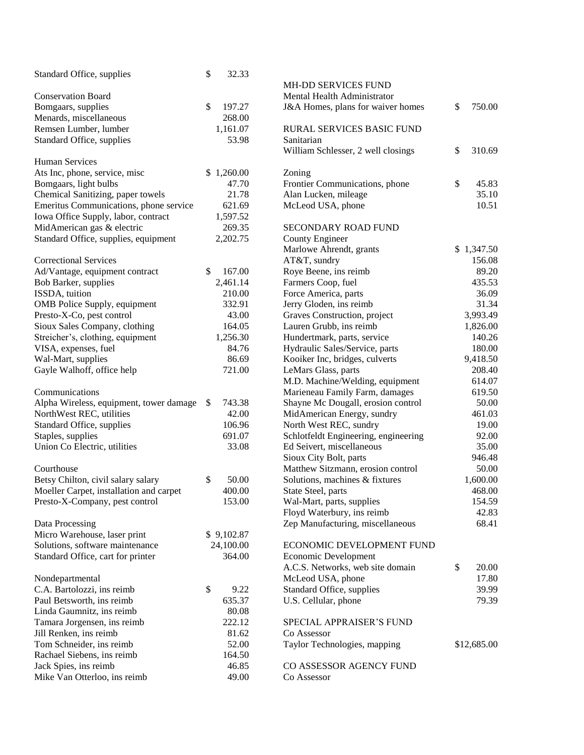| Standard Office, supplies               | \$<br>32.33  |                                      |              |
|-----------------------------------------|--------------|--------------------------------------|--------------|
|                                         |              | <b>MH-DD SERVICES FUND</b>           |              |
| <b>Conservation Board</b>               |              | Mental Health Administrator          |              |
| Bomgaars, supplies                      | \$<br>197.27 | J&A Homes, plans for waiver homes    | \$<br>750.00 |
| Menards, miscellaneous                  | 268.00       |                                      |              |
| Remsen Lumber, lumber                   | 1,161.07     | RURAL SERVICES BASIC FUND            |              |
| Standard Office, supplies               | 53.98        | Sanitarian                           |              |
|                                         |              | William Schlesser, 2 well closings   | \$<br>310.69 |
| <b>Human Services</b>                   |              |                                      |              |
| Ats Inc, phone, service, misc           | \$1,260.00   | Zoning                               |              |
| Bomgaars, light bulbs                   | 47.70        | Frontier Communications, phone       | \$<br>45.83  |
| Chemical Sanitizing, paper towels       | 21.78        | Alan Lucken, mileage                 | 35.10        |
| Emeritus Communications, phone service  | 621.69       | McLeod USA, phone                    | 10.51        |
| Iowa Office Supply, labor, contract     | 1,597.52     |                                      |              |
| MidAmerican gas & electric              | 269.35       | <b>SECONDARY ROAD FUND</b>           |              |
| Standard Office, supplies, equipment    | 2,202.75     | <b>County Engineer</b>               |              |
|                                         |              | Marlowe Ahrendt, grants              | \$1,347.50   |
| <b>Correctional Services</b>            |              | AT&T, sundry                         | 156.08       |
| Ad/Vantage, equipment contract          | \$<br>167.00 | Roye Beene, ins reimb                | 89.20        |
| Bob Barker, supplies                    | 2,461.14     | Farmers Coop, fuel                   | 435.53       |
| ISSDA, tuition                          | 210.00       | Force America, parts                 | 36.09        |
| OMB Police Supply, equipment            | 332.91       | Jerry Gloden, ins reimb              | 31.34        |
| Presto-X-Co, pest control               | 43.00        | Graves Construction, project         | 3,993.49     |
| Sioux Sales Company, clothing           | 164.05       | Lauren Grubb, ins reimb              | 1,826.00     |
| Streicher's, clothing, equipment        | 1,256.30     | Hundertmark, parts, service          | 140.26       |
| VISA, expenses, fuel                    | 84.76        | Hydraulic Sales/Service, parts       | 180.00       |
| Wal-Mart, supplies                      | 86.69        | Kooiker Inc, bridges, culverts       | 9,418.50     |
| Gayle Walhoff, office help              | 721.00       | LeMars Glass, parts                  | 208.40       |
|                                         |              | M.D. Machine/Welding, equipment      | 614.07       |
| Communications                          |              | Marieneau Family Farm, damages       | 619.50       |
| Alpha Wireless, equipment, tower damage | \$<br>743.38 | Shayne Mc Dougall, erosion control   | 50.00        |
| NorthWest REC, utilities                | 42.00        | MidAmerican Energy, sundry           | 461.03       |
| Standard Office, supplies               | 106.96       | North West REC, sundry               | 19.00        |
| Staples, supplies                       | 691.07       | Schlotfeldt Engineering, engineering | 92.00        |
| Union Co Electric, utilities            | 33.08        | Ed Seivert, miscellaneous            | 35.00        |
|                                         |              | Sioux City Bolt, parts               | 946.48       |
| Courthouse                              |              | Matthew Sitzmann, erosion control    | 50.00        |
| Betsy Chilton, civil salary salary      | \$<br>50.00  | Solutions, machines & fixtures       | 1,600.00     |
| Moeller Carpet, installation and carpet | 400.00       | State Steel, parts                   | 468.00       |
| Presto-X-Company, pest control          | 153.00       | Wal-Mart, parts, supplies            | 154.59       |
|                                         |              | Floyd Waterbury, ins reimb           | 42.83        |
| Data Processing                         |              | Zep Manufacturing, miscellaneous     | 68.41        |
| Micro Warehouse, laser print            | \$9,102.87   |                                      |              |
| Solutions, software maintenance         | 24,100.00    | ECONOMIC DEVELOPMENT FUND            |              |
| Standard Office, cart for printer       | 364.00       | Economic Development                 |              |
|                                         |              | A.C.S. Networks, web site domain     | \$<br>20.00  |
| Nondepartmental                         |              | McLeod USA, phone                    | 17.80        |
| C.A. Bartolozzi, ins reimb              | \$<br>9.22   | Standard Office, supplies            | 39.99        |
| Paul Betsworth, ins reimb               | 635.37       | U.S. Cellular, phone                 | 79.39        |
| Linda Gaumnitz, ins reimb               | 80.08        |                                      |              |
| Tamara Jorgensen, ins reimb             | 222.12       | SPECIAL APPRAISER'S FUND             |              |
| Jill Renken, ins reimb                  | 81.62        | Co Assessor                          |              |
| Tom Schneider, ins reimb                | 52.00        | Taylor Technologies, mapping         | \$12,685.00  |
| Rachael Siebens, ins reimb              | 164.50       |                                      |              |
| Jack Spies, ins reimb                   | 46.85        | CO ASSESSOR AGENCY FUND              |              |
| Mike Van Otterloo, ins reimb            | 49.00        | Co Assessor                          |              |
|                                         |              |                                      |              |